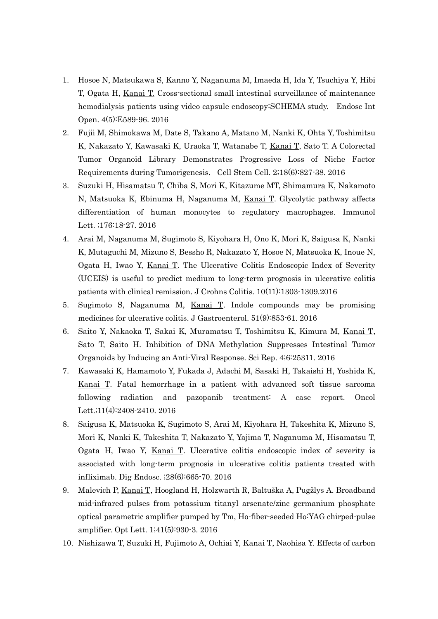- 1. Hosoe N, Matsukawa S, Kanno Y, Naganuma M, Imaeda H, Ida Y, Tsuchiya Y, Hibi T, Ogata H, Kanai T. Cross-sectional small intestinal surveillance of maintenance hemodialysis patients using video capsule endoscopy:SCHEMA study. Endosc Int Open. 4(5):E589-96. 2016
- 2. Fujii M, Shimokawa M, Date S, Takano A, Matano M, Nanki K, Ohta Y, Toshimitsu K, Nakazato Y, Kawasaki K, Uraoka T, Watanabe T, Kanai T, Sato T. A Colorectal Tumor Organoid Library Demonstrates Progressive Loss of Niche Factor Requirements during Tumorigenesis. Cell Stem Cell. 2;18(6):827-38. 2016
- 3. Suzuki H, Hisamatsu T, Chiba S, Mori K, Kitazume MT, Shimamura K, Nakamoto N, Matsuoka K, Ebinuma H, Naganuma M, Kanai T. Glycolytic pathway affects differentiation of human monocytes to regulatory macrophages. Immunol Lett. ;176:18-27. 2016
- 4. Arai M, Naganuma M, Sugimoto S, Kiyohara H, Ono K, Mori K, Saigusa K, Nanki K, Mutaguchi M, Mizuno S, Bessho R, Nakazato Y, Hosoe N, Matsuoka K, Inoue N, Ogata H, Iwao Y, Kanai T. The Ulcerative Colitis Endoscopic Index of Severity (UCEIS) is useful to predict medium to long-term prognosis in ulcerative colitis patients with clinical remission. J Crohns Colitis. 10(11):1303-1309.2016
- 5. Sugimoto S, Naganuma M, Kanai T. Indole compounds may be promising medicines for ulcerative colitis. J Gastroenterol. 51(9):853-61. 2016
- 6. Saito Y, Nakaoka T, Sakai K, Muramatsu T, Toshimitsu K, Kimura M, Kanai T, Sato T, Saito H. Inhibition of DNA Methylation Suppresses Intestinal Tumor Organoids by Inducing an Anti-Viral Response. Sci Rep. 4;6:25311. 2016
- 7. Kawasaki K, Hamamoto Y, Fukada J, Adachi M, Sasaki H, Takaishi H, Yoshida K, Kanai T. Fatal hemorrhage in a patient with advanced soft tissue sarcoma following radiation and pazopanib treatment: A case report. Oncol Lett.;11(4):2408-2410. 2016
- 8. Saigusa K, Matsuoka K, Sugimoto S, Arai M, Kiyohara H, Takeshita K, Mizuno S, Mori K, Nanki K, Takeshita T, Nakazato Y, Yajima T, Naganuma M, Hisamatsu T, Ogata H, Iwao Y, Kanai T. Ulcerative colitis endoscopic index of severity is associated with long-term prognosis in ulcerative colitis patients treated with infliximab. Dig Endosc. ;28(6):665-70. 2016
- 9. Malevich P, Kanai T, Hoogland H, Holzwarth R, Baltuška A, Pugžlys A. Broadband mid-infrared pulses from potassium titanyl arsenate/zinc germanium phosphate optical parametric amplifier pumped by Tm, Ho-fiber-seeded Ho:YAG chirped-pulse amplifier. Opt Lett. 1;41(5):930-3. 2016
- 10. Nishizawa T, Suzuki H, Fujimoto A, Ochiai Y, Kanai T, Naohisa Y. Effects of carbon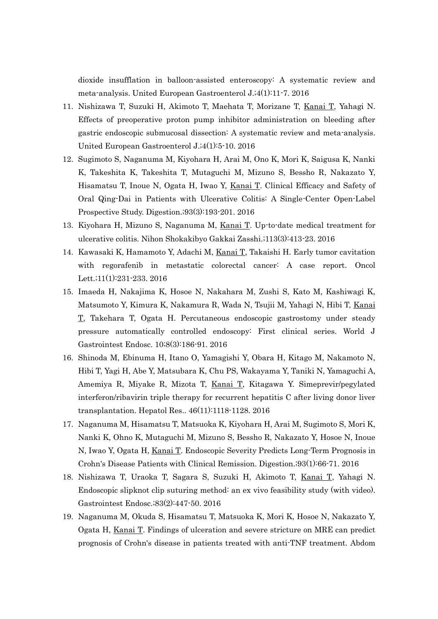dioxide insufflation in balloon-assisted enteroscopy: A systematic review and meta-analysis. United European Gastroenterol J.;4(1):11-7. 2016

- 11. Nishizawa T, Suzuki H, Akimoto T, Maehata T, Morizane T, Kanai T, Yahagi N. Effects of preoperative proton pump inhibitor administration on bleeding after gastric endoscopic submucosal dissection: A systematic review and meta-analysis. United European Gastroenterol J.;4(1):5-10. 2016
- 12. Sugimoto S, Naganuma M, Kiyohara H, Arai M, Ono K, Mori K, Saigusa K, Nanki K, Takeshita K, Takeshita T, Mutaguchi M, Mizuno S, Bessho R, Nakazato Y, Hisamatsu T, Inoue N, Ogata H, Iwao Y, Kanai T. Clinical Efficacy and Safety of Oral Qing-Dai in Patients with Ulcerative Colitis: A Single-Center Open-Label Prospective Study. Digestion.;93(3):193-201. 2016
- 13. Kiyohara H, Mizuno S, Naganuma M, Kanai T. Up-to-date medical treatment for ulcerative colitis. Nihon Shokakibyo Gakkai Zasshi.;113(3):413-23. 2016
- 14. Kawasaki K, Hamamoto Y, Adachi M, Kanai T, Takaishi H. Early tumor cavitation with regorafenib in metastatic colorectal cancer: A case report. Oncol Lett.;11(1):231-233. 2016
- 15. Imaeda H, Nakajima K, Hosoe N, Nakahara M, Zushi S, Kato M, Kashiwagi K, Matsumoto Y, Kimura K, Nakamura R, Wada N, Tsujii M, Yahagi N, Hibi T, Kanai T, Takehara T, Ogata H. Percutaneous endoscopic gastrostomy under steady pressure automatically controlled endoscopy: First clinical series. World J Gastrointest Endosc. 10;8(3):186-91. 2016
- 16. Shinoda M, Ebinuma H, Itano O, Yamagishi Y, Obara H, Kitago M, Nakamoto N, Hibi T, Yagi H, Abe Y, Matsubara K, Chu PS, Wakayama Y, Taniki N, Yamaguchi A, Amemiya R, Miyake R, Mizota T, Kanai T, Kitagawa Y. Simeprevir/pegylated interferon/ribavirin triple therapy for recurrent hepatitis C after living donor liver transplantation. Hepatol Res.. 46(11):1118-1128. 2016
- 17. Naganuma M, Hisamatsu T, Matsuoka K, Kiyohara H, Arai M, Sugimoto S, Mori K, Nanki K, Ohno K, Mutaguchi M, Mizuno S, Bessho R, Nakazato Y, Hosoe N, Inoue N, Iwao Y, Ogata H, Kanai T. Endoscopic Severity Predicts Long-Term Prognosis in Crohn's Disease Patients with Clinical Remission. Digestion.;93(1):66-71. 2016
- 18. Nishizawa T, Uraoka T, Sagara S, Suzuki H, Akimoto T, Kanai T, Yahagi N. Endoscopic slipknot clip suturing method: an ex vivo feasibility study (with video). Gastrointest Endosc.;83(2):447-50. 2016
- 19. Naganuma M, Okuda S, Hisamatsu T, Matsuoka K, Mori K, Hosoe N, Nakazato Y, Ogata H, Kanai T. Findings of ulceration and severe stricture on MRE can predict prognosis of Crohn's disease in patients treated with anti-TNF treatment. Abdom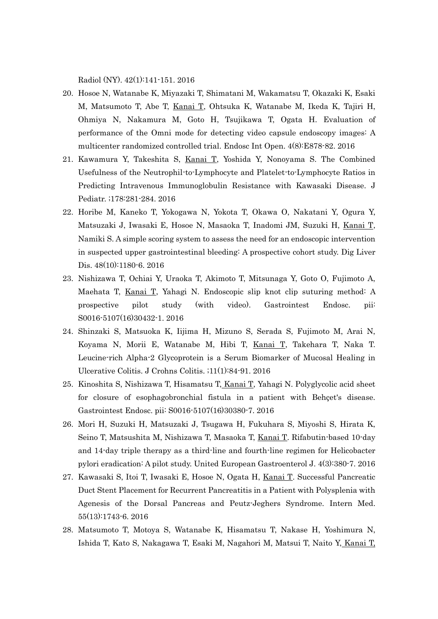Radiol (NY). 42(1):141-151. 2016

- 20. Hosoe N, Watanabe K, Miyazaki T, Shimatani M, Wakamatsu T, Okazaki K, Esaki M, Matsumoto T, Abe T, Kanai T, Ohtsuka K, Watanabe M, Ikeda K, Tajiri H, Ohmiya N, Nakamura M, Goto H, Tsujikawa T, Ogata H. Evaluation of performance of the Omni mode for detecting video capsule endoscopy images: A multicenter randomized controlled trial. Endosc Int Open. 4(8):E878-82. 2016
- 21. Kawamura Y, Takeshita S, Kanai T, Yoshida Y, Nonoyama S. The Combined Usefulness of the Neutrophil-to-Lymphocyte and Platelet-to-Lymphocyte Ratios in Predicting Intravenous Immunoglobulin Resistance with Kawasaki Disease. J Pediatr. ;178:281-284. 2016
- 22. Horibe M, Kaneko T, Yokogawa N, Yokota T, Okawa O, Nakatani Y, Ogura Y, Matsuzaki J, Iwasaki E, Hosoe N, Masaoka T, Inadomi JM, Suzuki H, Kanai T, Namiki S. A simple scoring system to assess the need for an endoscopic intervention in suspected upper gastrointestinal bleeding: A prospective cohort study. Dig Liver Dis. 48(10):1180-6. 2016
- 23. Nishizawa T, Ochiai Y, Uraoka T, Akimoto T, Mitsunaga Y, Goto O, Fujimoto A, Maehata T, Kanai T, Yahagi N. Endoscopic slip knot clip suturing method: A prospective pilot study (with video). Gastrointest Endosc. pii: S0016-5107(16)30432-1. 2016
- 24. Shinzaki S, Matsuoka K, Iijima H, Mizuno S, Serada S, Fujimoto M, Arai N, Koyama N, Morii E, Watanabe M, Hibi T, Kanai T, Takehara T, Naka T. Leucine-rich Alpha-2 Glycoprotein is a Serum Biomarker of Mucosal Healing in Ulcerative Colitis. J Crohns Colitis. ;11(1):84-91. 2016
- 25. Kinoshita S, Nishizawa T, Hisamatsu T, Kanai T, Yahagi N. Polyglycolic acid sheet for closure of esophagobronchial fistula in a patient with Behçet's disease. Gastrointest Endosc. pii: S0016-5107(16)30380-7. 2016
- 26. Mori H, Suzuki H, Matsuzaki J, Tsugawa H, Fukuhara S, Miyoshi S, Hirata K, Seino T, Matsushita M, Nishizawa T, Masaoka T, Kanai T. Rifabutin-based 10-day and 14-day triple therapy as a third-line and fourth-line regimen for Helicobacter pylori eradication: A pilot study. United European Gastroenterol J. 4(3):380-7. 2016
- 27. Kawasaki S, Itoi T, Iwasaki E, Hosoe N, Ogata H, Kanai T. Successful Pancreatic Duct Stent Placement for Recurrent Pancreatitis in a Patient with Polysplenia with Agenesis of the Dorsal Pancreas and Peutz-Jeghers Syndrome. Intern Med. 55(13):1743-6. 2016
- 28. Matsumoto T, Motoya S, Watanabe K, Hisamatsu T, Nakase H, Yoshimura N, Ishida T, Kato S, Nakagawa T, Esaki M, Nagahori M, Matsui T, Naito Y, Kanai T,